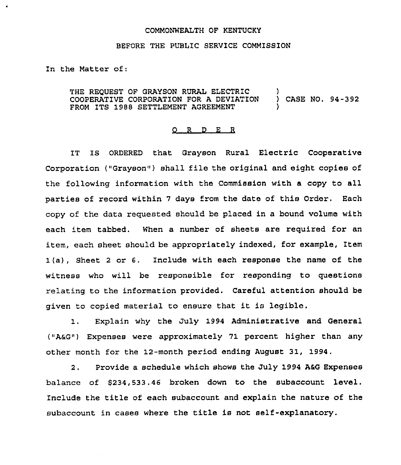## COMMONWEALTH OF KENTUCKY

## BEFORE THE PUBLIC SERVICE COMMISSION

In the Matter of:

THE REQUEST OF GRAYSON RURAL ELECTRIC COOPERATIVE CORPORATION FOR A DEVIATION FROM ITS 1988 SETTLEMENT AGREEMENT ) ) CASE NO. 94-392 )

## 0 <sup>R</sup> <sup>D</sup> E <sup>R</sup>

IT IS ORDERED that Grayson Rural Electric Cooperative Corporation ("Grayson") shall file the original and eight copies of the following information with the Commission with a copy to all parties of record within 7 days from the date of this Order. Each copy of the data requested should be placed in a bound volume with each item tabbed. When a number of sheets are required for an item, each sheet should be appropriately indexed, for example, Item 1(a), Sheet <sup>2</sup> or 6. Include with each response the name of the witness who will be responsible for responding to questions relating to the information provided. Careful attention should be given to copied material to ensure that it is legible.

1. Explain why the July 1994 Administrative and General ("AaG") Expenses were approximately 71 percent higher than any other month for the 12-month period ending August 31, 1994.

2. Provide a schedule which shows the July 1994 A6G Expenses balance of \$234,533.46 broken down to the subaccount level. Include the title of each subaccount and explain the nature of the subaccount in cases where the title is not self-explanatory.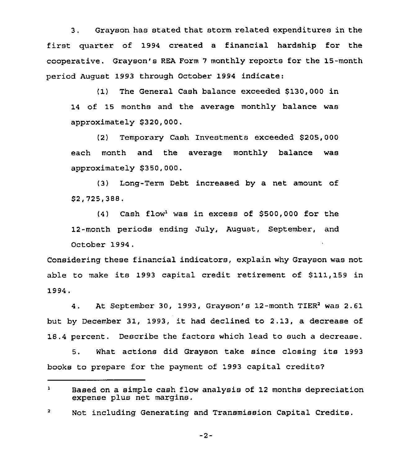3. Grayson has stated that storm related expenditures in the first quarter of 1994 created a financial hardship for the cooperative. Grayson's REA Form <sup>7</sup> monthly reports for the 15-month period August 1993 through October 1994 indicate:

(1) The General Cash balance exceeded \$130,000 in of 15 months and the average monthly balance was approximately \$320,000.

(2) Temporary Cash Investments exceeded \$205,000 each month and the average monthly balance was approximately \$350,000.

(3) Long-Term Debt increased by a net amount of \$2,725,388.

 $(4)$  Cash flow<sup>1</sup> was in excess of \$500,000 for the 12-month periods ending July, August, September, and October 1994.

Considering these financial indicators, explain why Grayson was not able to make its 1993 capital credit retirement of \$111,159 in 1994.

4. At September 30, 1993, Grayson's 12-month TIER<sup>2</sup> was 2.61 but by December 31, 1993, it had declined to 2.13, <sup>a</sup> decrease of 18.4 percent. Describe the factors which lead to such a decrease.

5. What actions did Grayson take since closing its 1993 books to prepare for the payment of 1993 capital credits7

 $-2-$ 

 $\mathbf{1}$ Based on a simple cash flow analysis of 12 months depreciation expense plus net margins.

 $\mathbf{z}$ Not including Generating and Transmission Capital Credits.